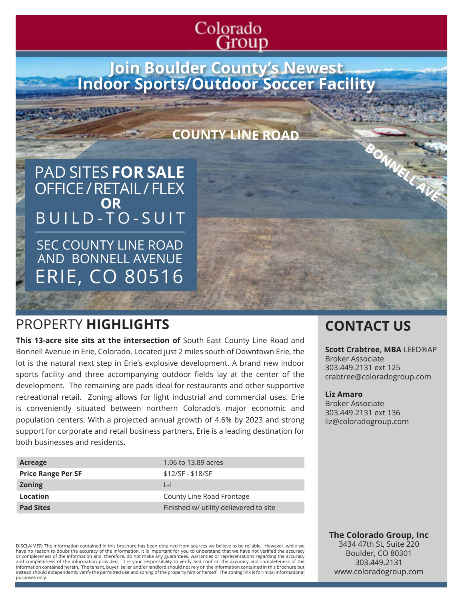# Colorado Group)

**Join Boulder County's Newest Indoor Sports/Outdoor Soccer Facility**

## **COUNTY LINE ROAD**

PAD SITES **FOR SALE** OFFICE / RETAIL / FLEX BUILD-TO-SUIT **OR**

SEC COUNTY LINE ROAD AND BONNELL AVENUE ERIE, CO 80516

# PROPERTY **HIGHLIGHTS CONTACT US**

**This 13-acre site sits at the intersection of** South East County Line Road and Bonnell Avenue in Erie, Colorado. Located just 2 miles south of Downtown Erie, the lot is the natural next step in Erie's explosive development. A brand new indoor sports facility and three accompanying outdoor fields lay at the center of the development. The remaining are pads ideal for restaurants and other supportive recreational retail. Zoning allows for light industrial and commercial uses. Erie is conveniently situated between northern Colorado's major economic and population centers. With a projected annual growth of 4.6% by 2023 and strong support for corporate and retail business partners, Erie is a leading destination for both businesses and residents.

| Acreage                   | 1.06 to 13.89 acres                    |
|---------------------------|----------------------------------------|
| <b>Price Range Per SF</b> | \$12/SF - \$18/SF                      |
| <b>Zoning</b>             | $\vert \cdot \vert$                    |
| Location                  | County Line Road Frontage              |
| <b>Pad Sites</b>          | Finished w/ utility delievered to site |

DISCLAIMER: The information contained in this brochure has been obtained from sources we believe to be reliable. However, while we have no reason to doubt the accuracy of the information, it is important for you to understand that we have not verified the accuracy or completeness of the information and, therefore, do not make any guarantees, warranties or representations regarding the accuracy<br>and completeness of the information provided. It is your responsibility to verify and con information contained herein. The tenant, buyer, seller and/or landlord should not rely on the information contained in this brochure but instead should independently verify the permitted use and zoning of the property him or herself. The zoning link is for initial informational purposes only.

**Scott Crabtree, MBA** LEED®AP Broker Associate 303.449.2131 ext 125 crabtree@coloradogroup.com

**BONNELL AVE**

#### **Liz Amaro**

Broker Associate 303.449.2131 ext 136 liz@coloradogroup.com

**The Colorado Group, Inc** 3434 47th St, Suite 220 Boulder, CO 80301 303.449.2131 www.coloradogroup.com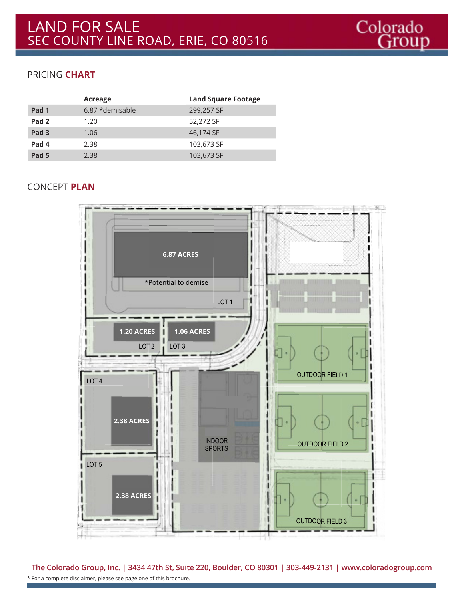## PRICING **CHART**

|                  | Acreage         | <b>Land Square Footage</b> |
|------------------|-----------------|----------------------------|
| Pad <sub>1</sub> | 6.87 *demisable | 299,257 SF                 |
| Pad <sub>2</sub> | 1.20            | 52,272 SF                  |
| Pad <sub>3</sub> | 1.06            | 46,174 SF                  |
| Pad <sub>4</sub> | 2.38            | 103,673 SF                 |
| Pad <sub>5</sub> | 2.38            | 103,673 SF                 |

### CONCEPT **PLAN**



**The Colorado Group, Inc. | 3434 47th St, Suite 220, Boulder, CO 80301 | 303-449-2131 | www.coloradogroup.com** \* For a complete disclaimer, please see page one of this brochure.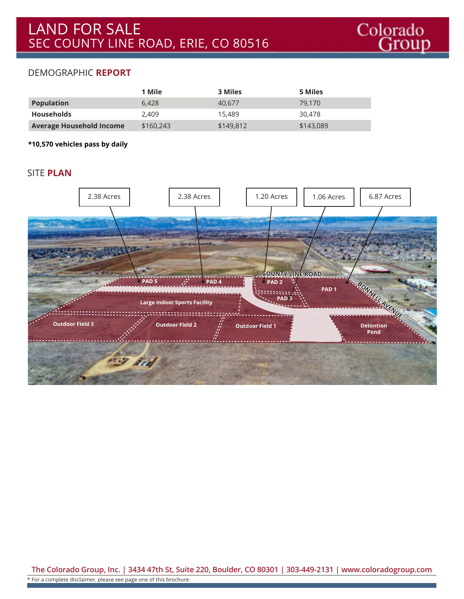#### DEMOGRAPHIC **REPORT**

|                                 | 1 Mile    | 3 Miles   | 5 Miles   |
|---------------------------------|-----------|-----------|-----------|
| <b>Population</b>               | 6.428     | 40.677    | 79.170    |
| <b>Households</b>               | 2.409     | 15,489    | 30.478    |
| <b>Average Household Income</b> | \$160,243 | \$149,812 | \$143,089 |

**\*10,570 vehicles pass by daily**

#### SITE **PLAN**